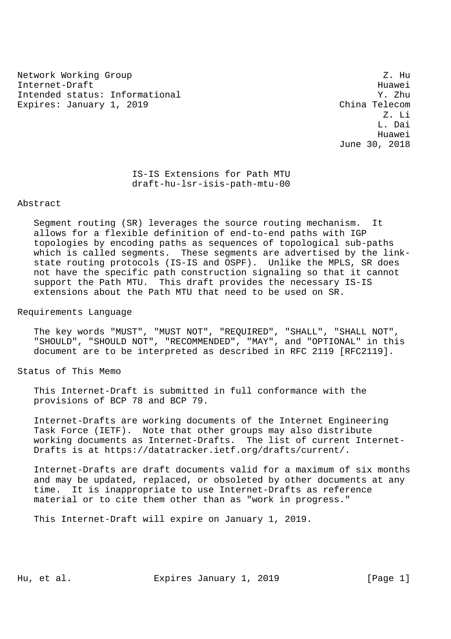Network Working Group 2. Hu Internet-Draft Huawei Australia (1999) and the entry of the Huawei Huawei Huawei Huawei Huawei Huawei Huawei Huawei Huawei Huawei Huawei Huawei Huawei Huawei Huawei Huawei Huawei Huawei Huawei Huawei Huawei Huawei Huawei H Intended status: Informational Y. Zhu Expires: January 1, 2019 China Telecom

 Z. Li L. Dai Huawei June 30, 2018

> IS-IS Extensions for Path MTU draft-hu-lsr-isis-path-mtu-00

## Abstract

 Segment routing (SR) leverages the source routing mechanism. It allows for a flexible definition of end-to-end paths with IGP topologies by encoding paths as sequences of topological sub-paths which is called segments. These segments are advertised by the link state routing protocols (IS-IS and OSPF). Unlike the MPLS, SR does not have the specific path construction signaling so that it cannot support the Path MTU. This draft provides the necessary IS-IS extensions about the Path MTU that need to be used on SR.

Requirements Language

 The key words "MUST", "MUST NOT", "REQUIRED", "SHALL", "SHALL NOT", "SHOULD", "SHOULD NOT", "RECOMMENDED", "MAY", and "OPTIONAL" in this document are to be interpreted as described in RFC 2119 [RFC2119].

Status of This Memo

 This Internet-Draft is submitted in full conformance with the provisions of BCP 78 and BCP 79.

 Internet-Drafts are working documents of the Internet Engineering Task Force (IETF). Note that other groups may also distribute working documents as Internet-Drafts. The list of current Internet- Drafts is at https://datatracker.ietf.org/drafts/current/.

 Internet-Drafts are draft documents valid for a maximum of six months and may be updated, replaced, or obsoleted by other documents at any time. It is inappropriate to use Internet-Drafts as reference material or to cite them other than as "work in progress."

This Internet-Draft will expire on January 1, 2019.

Hu, et al. **Expires January 1, 2019** [Page 1]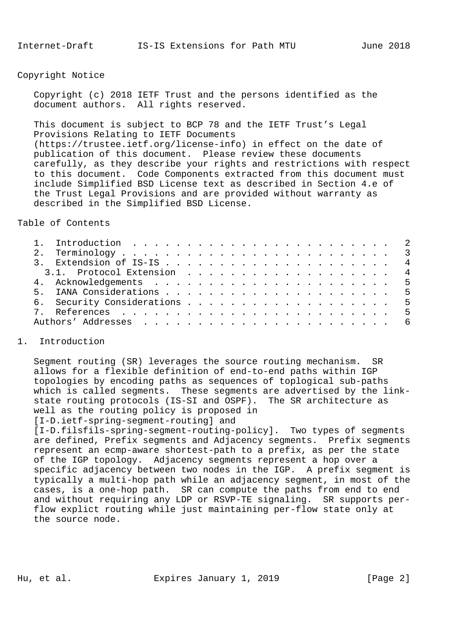## Copyright Notice

 Copyright (c) 2018 IETF Trust and the persons identified as the document authors. All rights reserved.

 This document is subject to BCP 78 and the IETF Trust's Legal Provisions Relating to IETF Documents (https://trustee.ietf.org/license-info) in effect on the date of publication of this document. Please review these documents carefully, as they describe your rights and restrictions with respect to this document. Code Components extracted from this document must include Simplified BSD License text as described in Section 4.e of the Trust Legal Provisions and are provided without warranty as described in the Simplified BSD License.

Table of Contents

| 3.1. Protocol Extension 4 |
|---------------------------|
|                           |
|                           |
|                           |
|                           |
|                           |
|                           |

## 1. Introduction

 Segment routing (SR) leverages the source routing mechanism. SR allows for a flexible definition of end-to-end paths within IGP topologies by encoding paths as sequences of toplogical sub-paths which is called segments. These segments are advertised by the link state routing protocols (IS-SI and OSPF). The SR architecture as well as the routing policy is proposed in

[I-D.ietf-spring-segment-routing] and

 [I-D.filsfils-spring-segment-routing-policy]. Two types of segments are defined, Prefix segments and Adjacency segments. Prefix segments represent an ecmp-aware shortest-path to a prefix, as per the state of the IGP topology. Adjacency segments represent a hop over a specific adjacency between two nodes in the IGP. A prefix segment is typically a multi-hop path while an adjacency segment, in most of the cases, is a one-hop path. SR can compute the paths from end to end and without requiring any LDP or RSVP-TE signaling. SR supports per flow explict routing while just maintaining per-flow state only at the source node.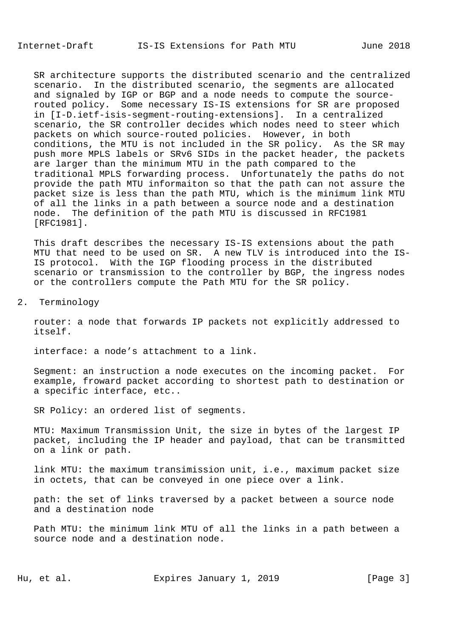SR architecture supports the distributed scenario and the centralized scenario. In the distributed scenario, the segments are allocated and signaled by IGP or BGP and a node needs to compute the source routed policy. Some necessary IS-IS extensions for SR are proposed in [I-D.ietf-isis-segment-routing-extensions]. In a centralized scenario, the SR controller decides which nodes need to steer which packets on which source-routed policies. However, in both conditions, the MTU is not included in the SR policy. As the SR may push more MPLS labels or SRv6 SIDs in the packet header, the packets are larger than the minimum MTU in the path compared to the traditional MPLS forwarding process. Unfortunately the paths do not provide the path MTU informaiton so that the path can not assure the packet size is less than the path MTU, which is the minimum link MTU of all the links in a path between a source node and a destination node. The definition of the path MTU is discussed in RFC1981 [RFC1981].

 This draft describes the necessary IS-IS extensions about the path MTU that need to be used on SR. A new TLV is introduced into the IS- IS protocol. With the IGP flooding process in the distributed scenario or transmission to the controller by BGP, the ingress nodes or the controllers compute the Path MTU for the SR policy.

## 2. Terminology

 router: a node that forwards IP packets not explicitly addressed to itself.

interface: a node's attachment to a link.

 Segment: an instruction a node executes on the incoming packet. For example, froward packet according to shortest path to destination or a specific interface, etc..

SR Policy: an ordered list of segments.

 MTU: Maximum Transmission Unit, the size in bytes of the largest IP packet, including the IP header and payload, that can be transmitted on a link or path.

 link MTU: the maximum transimission unit, i.e., maximum packet size in octets, that can be conveyed in one piece over a link.

 path: the set of links traversed by a packet between a source node and a destination node

 Path MTU: the minimum link MTU of all the links in a path between a source node and a destination node.

Hu, et al. **Expires January 1, 2019** [Page 3]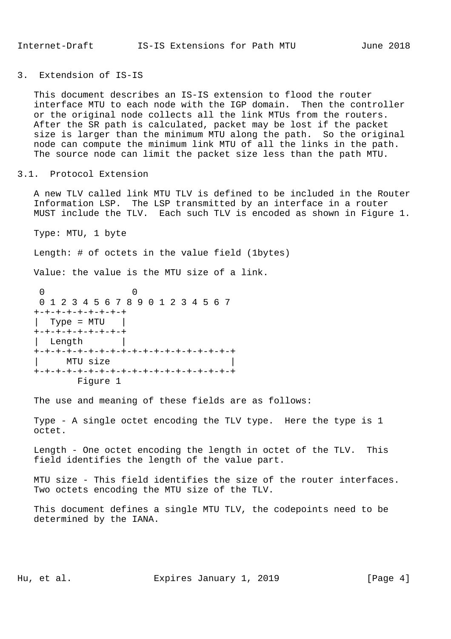3. Extendsion of IS-IS

 This document describes an IS-IS extension to flood the router interface MTU to each node with the IGP domain. Then the controller or the original node collects all the link MTUs from the routers. After the SR path is calculated, packet may be lost if the packet size is larger than the minimum MTU along the path. So the original node can compute the minimum link MTU of all the links in the path. The source node can limit the packet size less than the path MTU.

3.1. Protocol Extension

 A new TLV called link MTU TLV is defined to be included in the Router Information LSP. The LSP transmitted by an interface in a router MUST include the TLV. Each such TLV is encoded as shown in Figure 1.

Type: MTU, 1 byte

Length: # of octets in the value field (1bytes)

Value: the value is the MTU size of a link.

```
 0 0
  0 1 2 3 4 5 6 7 8 9 0 1 2 3 4 5 6 7
 +-+-+-+-+-+-+-+-+
| Type = MTU | +-+-+-+-+-+-+-+-+
 Length
 +-+-+-+-+-+-+-+-+-+-+-+-+-+-+-+-+-+-+
| MTU size
 +-+-+-+-+-+-+-+-+-+-+-+-+-+-+-+-+-+-+
       Figure 1
```
The use and meaning of these fields are as follows:

 Type - A single octet encoding the TLV type. Here the type is 1 octet.

 Length - One octet encoding the length in octet of the TLV. This field identifies the length of the value part.

 MTU size - This field identifies the size of the router interfaces. Two octets encoding the MTU size of the TLV.

 This document defines a single MTU TLV, the codepoints need to be determined by the IANA.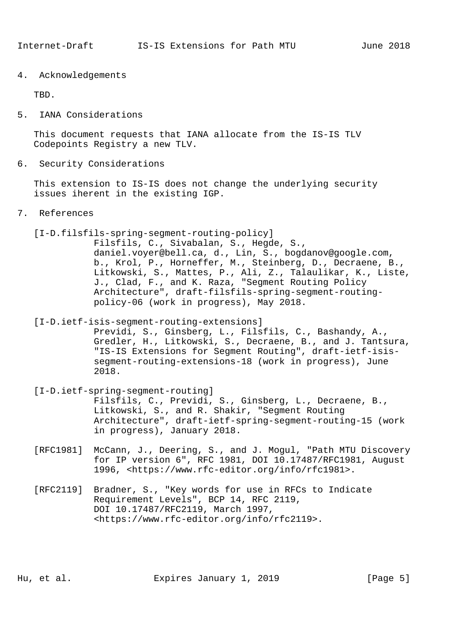4. Acknowledgements

TBD.

5. IANA Considerations

 This document requests that IANA allocate from the IS-IS TLV Codepoints Registry a new TLV.

6. Security Considerations

 This extension to IS-IS does not change the underlying security issues iherent in the existing IGP.

7. References

[I-D.filsfils-spring-segment-routing-policy]

 Filsfils, C., Sivabalan, S., Hegde, S., daniel.voyer@bell.ca, d., Lin, S., bogdanov@google.com, b., Krol, P., Horneffer, M., Steinberg, D., Decraene, B., Litkowski, S., Mattes, P., Ali, Z., Talaulikar, K., Liste, J., Clad, F., and K. Raza, "Segment Routing Policy Architecture", draft-filsfils-spring-segment-routing policy-06 (work in progress), May 2018.

[I-D.ietf-isis-segment-routing-extensions]

 Previdi, S., Ginsberg, L., Filsfils, C., Bashandy, A., Gredler, H., Litkowski, S., Decraene, B., and J. Tantsura, "IS-IS Extensions for Segment Routing", draft-ietf-isis segment-routing-extensions-18 (work in progress), June 2018.

- [I-D.ietf-spring-segment-routing] Filsfils, C., Previdi, S., Ginsberg, L., Decraene, B., Litkowski, S., and R. Shakir, "Segment Routing Architecture", draft-ietf-spring-segment-routing-15 (work in progress), January 2018.
- [RFC1981] McCann, J., Deering, S., and J. Mogul, "Path MTU Discovery for IP version 6", RFC 1981, DOI 10.17487/RFC1981, August 1996, <https://www.rfc-editor.org/info/rfc1981>.
- [RFC2119] Bradner, S., "Key words for use in RFCs to Indicate Requirement Levels", BCP 14, RFC 2119, DOI 10.17487/RFC2119, March 1997, <https://www.rfc-editor.org/info/rfc2119>.

Hu, et al. Expires January 1, 2019 [Page 5]